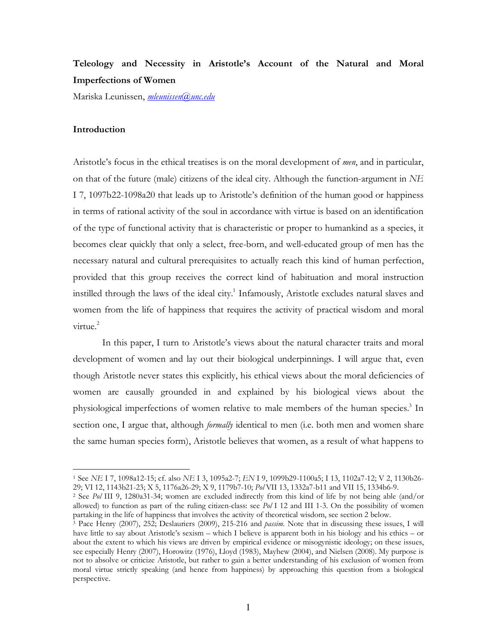# **Teleology and Necessity in Aristotle's Account of the Natural and Moral Imperfections of Women**

MariskaLeunissen,*mleunissen@unc.edu*

# **Introduction**

l.

Aristotle's focus in the ethical treatises is on the moral development of *men*, and in particular, on that of the future (male) citizens of the ideal city. Although the function-argument in NE I7, 1097b22-1098a20 that leads up to Aristotle's definition of the human good or happiness in terms of rational activity of the soul in accordance with virtue is based on an identification of the type of functional activity that is characteristic or proper to humankind as a species, it becomes clear quickly that only a select, free-born, and well-educated group of men has the necessary natural and cultural prerequisites to actually reach this kind of human perfection, provided that this group receives the correct kind of habituation and moral instruction instilled through the laws of the ideal city.<sup>1</sup> Infamously, Aristotle excludes natural slaves and women from the life of happiness that requires the activity of practical wisdom and moral virtue.<sup>2</sup>

In this paper, I turn to Aristotle's views about the natural character traits and moral development of women and lay out their biological underpinnings. I will argue that, even though Aristotle never states this explicitly, his ethical views about the moral deficiencies of women are causally grounded in and explained by his biological views about the physiological imperfections of women relative to male members of the human species.<sup>3</sup> In section one, I argue that, although *formally* identical to men (i.e. both men and women share the same human species form), Aristotle believes that women, as a result of what happens to

<sup>1</sup> See*NE* I7,1098a12-15;cf.also*NE* I3,1095a2-7;*EN* I9,1099b29-1100a5;I13,1102a7-12;V2,1130b26- 29;VI12,1143b21-23;X5,1176a26-29;X9,1179b7-10;*Pol* VII13,1332a7-b11andVII15,1334b6-9.

<sup>&</sup>lt;sup>2</sup> See Pol III 9, 1280a31-34; women are excluded indirectly from this kind of life by not being able (and/or allowed) to function as part of the ruling citizen-class: see *Pol* I 12 and III 1-3. On the possibility of women partaking in the life of happiness that involves the activity of theoretical wisdom, see section 2 below.

<sup>&</sup>lt;sup>3</sup> Pace Henry (2007), 252; Deslauriers (2009), 215-216 and *passim*. Note that in discussing these issues, I will have little to say about Aristotle's sexism – which I believe is apparent both in his biology and his ethics – or about the extent to which his views are driven by empirical evidence or misogynistic ideology; on these issues, see especially Henry (2007), Horowitz (1976), Lloyd (1983), Mayhew (2004), and Nielsen (2008). My purpose is not to absolve or criticize Aristotle, but rather to gain a better understanding of his exclusion of women from moral virtue strictly speaking (and hence from happiness) by approaching this question from a biological perspective.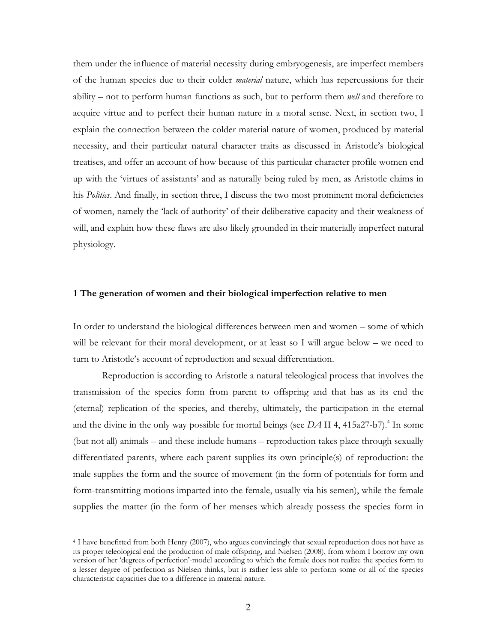them under the influence of material necessity during embryogenesis, are imperfect members of the human species due to their colder *material* nature, which has repercussions for their ability – not to perform human functions as such, but to perform them *well* and therefore to acquire virtue and to perfect their human nature in a moral sense. Next, in section two, I explain the connection between the colder material nature of women, produced by material necessity, and their particular natural character traits as discussed in Aristotle's biological treatises, and offer an account of how because of this particular character profile women end up with the 'virtues of assistants' and as naturally being ruled by men, as Aristotle claims in his *Politics*. And finally, in section three, I discuss the two most prominent moral deficiencies of women, namely the 'lack of authority' of their deliberative capacity and their weakness of will, and explain how these flaws are also likely grounded in their materially imperfect natural physiology.

## 1 The generation of women and their biological imperfection relative to men

In order to understand the biological differences between men and women – some of which will be relevant for their moral development, or at least so I will argue below – we need to turn to Aristotle's account of reproduction and sexual differentiation.

Reproduction is according to Aristotle a natural teleological process that involves the transmission of the species form from parent to offspring and that has as its end the (eternal) replication of the species, and thereby, ultimately, the participation in the eternal and the divine in the only way possible for mortal beings (see  $DA$  II 4, 415a27-b7).<sup>4</sup> In some (but not all) animals – and these include humans – reproduction takes place through sexually differentiated parents, where each parent supplies its own principle(s) of reproduction: the male supplies the form and the source of movement (in the form of potentials for form and form-transmitting motions imparted into the female, usually via his semen), while the female supplies the matter (in the form of her menses which already possess the species form in

<sup>4</sup> I have benefitted from both Henry (2007), who argues convincingly that sexual reproduction does not have as its proper teleological end the production of male offspring, and Nielsen (2008), from whom I borrow my own version of her 'degrees of perfection'-model according to which the female does not realize the species form to a lesser degree of perfection as Nielsen thinks, but is rather less able to perform some or all of the species characteristic capacities due to a difference in material nature.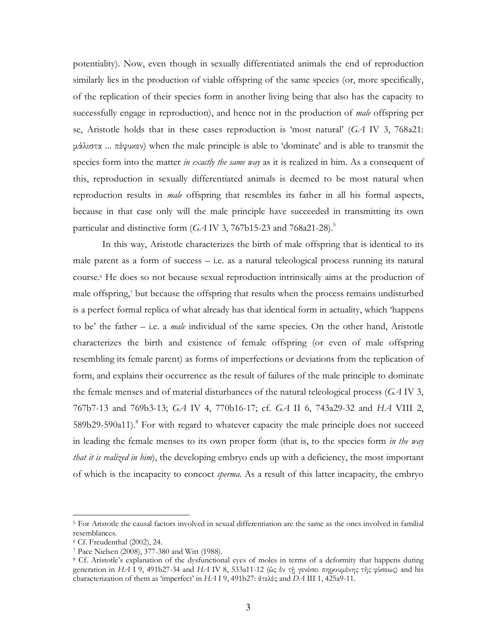potentiality). Now, even though in sexually differentiated animals the end of reproduction similarly lies in the production of viable offspring of the same species (or, more specifically, of the replication of their species form in another living being that also has the capacity to successfully engage in reproduction), and hence not in the production of *male* offspring per se, Aristotle holds that in these cases reproduction is 'most natural' (GA IV 3, 768a21: μάλιστα ... πέφυχεν) when the male principle is able to 'dominate' and is able to transmit the species form into the matter in exactly the same way as it is realized in him. As a consequent of this, reproduction in sexually differentiated animals is deemed to be most natural when reproduction results in *male* offspring that resembles its father in all his formal aspects, because in that case only will the male principle have succeeded in transmitting its own particular and distinctive form ( $GA$  IV 3, 767b15-23 and 768a21-28).<sup>5</sup>

In this way, Aristotle characterizes the birth of male offspring that is identical to its male parent as a form of success  $-$  i.e. as a natural teleological process running its natural course.<sup>6</sup> He does so not because sexual reproduction intrinsically aims at the production of male offspring,<sup>7</sup> but because the offspring that results when the process remains undisturbed is a perfect formal replica of what already has that identical form in actuality, which 'happens' to be' the father – i.e. a *male* individual of the same species. On the other hand, Aristotle characterizes the birth and existence of female offspring (or even of male offspring resembling its female parent) as forms of imperfections or deviations from the replication of form, and explains their occurrence as the result of failures of the male principle to dominate the female menses and of material disturbances of the natural teleological process ( $GA$  IV 3, 767b7-13 and 769b3-13; GA IV 4, 770b16-17; cf. GA II 6, 743a29-32 and HA VIII 2, 589b29-590a11).<sup>8</sup> For with regard to whatever capacity the male principle does not succeed in leading the female menses to its own proper form (that is, to the species form in the way *that it is realized in him*), the developing embryo ends up with a deficiency, the most important of which is the incapacity to concoct *sperma*. As a result of this latter incapacity, the embryo

<sup>&</sup>lt;sup>5</sup> For Aristotle the causal factors involved in sexual differentiation are the same as the ones involved in familial resemblances.

<sup>&</sup>lt;sup>6</sup> Cf. Freudenthal (2002), 24.

<sup>&</sup>lt;sup>7</sup> Pace Nielsen (2008), 377-380 and Witt (1988).

<sup>&</sup>lt;sup>8</sup> Cf. Aristotle's explanation of the dysfunctional eyes of moles in terms of a deformity that happens during generation in HA I 9, 491b27-34 and HA IV 8, 533a11-12 (ώς έν τη γενέσει πηρουμένης της φύσεως) and his characterization of them as 'imperfect' in HAI 9, 491b27: & teles and DA III 1, 425a9-11.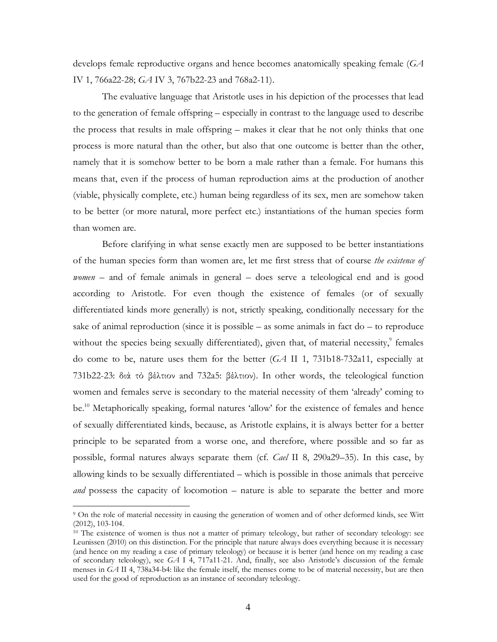develops female reproductive organs and hence becomes anatomically speaking female  $(GA)$ IV 1, 766a22-28; GA IV 3, 767b22-23 and 768a2-11).

The evaluative language that Aristotle uses in his depiction of the processes that lead to the generation of female offspring – especially in contrast to the language used to describe the process that results in male offspring – makes it clear that he not only thinks that one process is more natural than the other, but also that one outcome is better than the other, namely that it is somehow better to be born a male rather than a female. For humans this means that, even if the process of human reproduction aims at the production of another (viable, physically complete, etc.) human being regardless of its sex, men are somehow taken to be better (or more natural, more perfect etc.) instantiations of the human species form than women are.

Before clarifying in what sense exactly men are supposed to be better instantiations of the human species form than women are, let me first stress that of course the existence of women – and of female animals in general – does serve a teleological end and is good according to Aristotle. For even though the existence of females (or of sexually differentiated kinds more generally) is not, strictly speaking, conditionally necessary for the sake of animal reproduction (since it is possible  $-$  as some animals in fact do  $-$  to reproduce without the species being sexually differentiated), given that, of material necessity, females do come to be, nature uses them for the better  $(GA \amalg 1, 731b18-732a11)$ , especially at 731b22-23: διά τὸ βέλτιον and 732a5: βέλτιον). In other words, the teleological function women and females serve is secondary to the material necessity of them 'already' coming to be.<sup>10</sup> Metaphorically speaking, formal natures 'allow' for the existence of females and hence of sexually differentiated kinds, because, as Aristotle explains, it is always better for a better principle to be separated from a worse one, and therefore, where possible and so far as possible, formal natures always separate them (cf. *Cael II 8*, 290a29–35). In this case, by allowing kinds to be sexually differentiated – which is possible in those animals that perceive and possess the capacity of locomotion – nature is able to separate the better and more

<sup>&</sup>lt;sup>9</sup> On the role of material necessity in causing the generation of women and of other deformed kinds, see Witt  $(2012), 103-104.$ 

<sup>&</sup>lt;sup>10</sup> The existence of women is thus not a matter of primary teleology, but rather of secondary teleology: see Leunissen (2010) on this distinction. For the principle that nature always does everything because it is necessary (and hence on my reading a case of primary teleology) or because it is better (and hence on my reading a case of secondary teleology), see GA I 4, 717a11-21. And, finally, see also Aristotle's discussion of the female menses in GA II 4, 738a34-b4: like the female itself, the menses come to be of material necessity, but are then used for the good of reproduction as an instance of secondary teleology.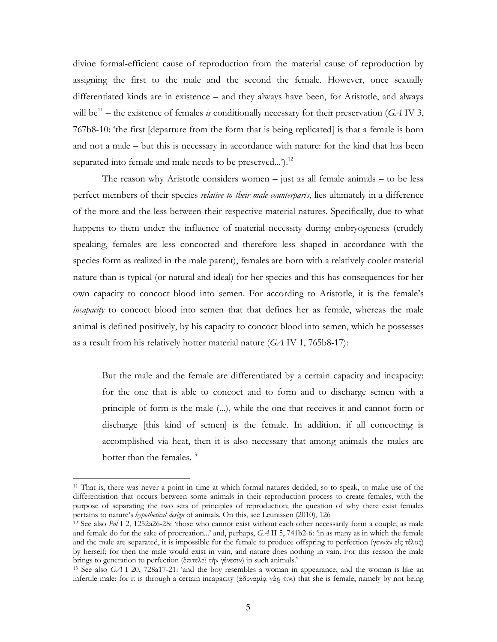divine formal-efficient cause of reproduction from the material cause of reproduction by assigning the first to the male and the second the female. However, once sexually differentiated kinds are in existence – and they always have been, for Aristotle, and always will be<sup>11</sup> – the existence of females is conditionally necessary for their preservation (GA IV 3, 767b8-10: 'the first [departure from the form that is being replicated] is that a female is born and not a male – but this is necessary in accordance with nature: for the kind that has been separated into female and male needs to be preserved...').<sup>12</sup>

The reason why Aristotle considers women  $-$  just as all female animals  $-$  to be less perfect members of their species *relative to their male counterparts*, lies ultimately in a difference of the more and the less between their respective material natures. Specifically, due to what happens to them under the influence of material necessity during embryogenesis (crudely speaking, females are less concocted and therefore less shaped in accordance with the species form as realized in the male parent), females are born with a relatively cooler material nature than is typical (or natural and ideal) for her species and this has consequences for her own capacity to concoct blood into semen. For according to Aristotle, it is the female's *incapacity* to concoct blood into semen that that defines her as female, whereas the male animal is defined positively, by his capacity to concoct blood into semen, which he possesses as a result from his relatively hotter material nature  $(GA IV 1, 765b8-17)$ :

But the male and the female are differentiated by a certain capacity and incapacity: for the one that is able to concoct and to form and to discharge semen with a principle of form is the male (...), while the one that receives it and cannot form or discharge [this kind of semen] is the female. In addition, if all concocting is accomplished via heat, then it is also necessary that among animals the males are hotter than the females.<sup>13</sup>

<sup>&</sup>lt;sup>11</sup> That is, there was never a point in time at which formal natures decided, so to speak, to make use of the differentiation that occurs between some animals in their reproduction process to create females, with the purpose of separating the two sets of principles of reproduction; the question of why there exist females pertains to nature's hypothetical design of animals. On this, see Leunissen (2010), 126

<sup>&</sup>lt;sup>12</sup> See also  $Pol$  I 2, 1252a26-28: 'those who cannot exist without each other necessarily form a couple, as male and female do for the sake of procreation...' and, perhaps,  $GAI15$ , 741b2-6: 'in as many as in which the female and the male are separated, it is impossible for the female to produce offspring to perfection (yevvav elg telog) by herself; for then the male would exist in vain, and nature does nothing in vain. For this reason the male brings to generation to perfection (έπιτελεῖ τὴν γένεσιν) in such animals.'

<sup>&</sup>lt;sup>13</sup> See also  $GA$  I 20, 728a17-21: 'and the boy resembles a woman in appearance, and the woman is like an infertile male: for it is through a certain incapacity ( $\delta \delta$  ovapiq  $\gamma \dot{\alpha}$   $\sigma$   $\tau$ ) that she is female, namely by not being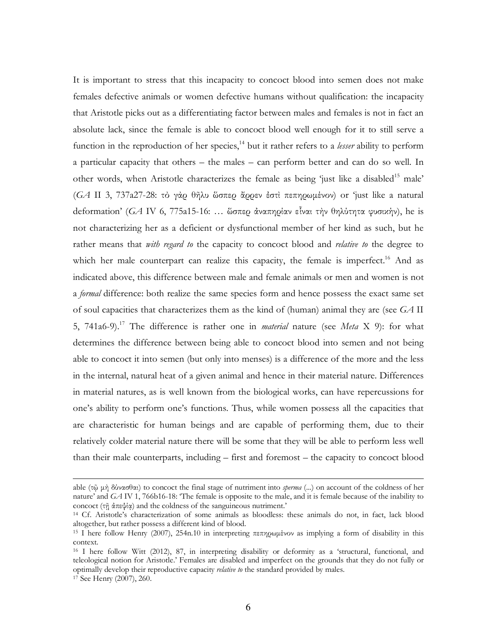It is important to stress that this incapacity to concoct blood into semen does not make females defective animals or women defective humans without qualification: the incapacity that Aristotle picks out as a differentiating factor between males and females is not in fact an absolute lack, since the female is able to concoct blood well enough for it to still serve a function in the reproduction of her species,<sup>14</sup> but it rather refers to a *lesser* ability to perform a particular capacity that others – the males – can perform better and can do so well. In other words, when Aristotle characterizes the female as being 'just like a disabled<sup>15</sup> male' (*GA* II 3, 737a27-28: τὸ γὰρ θῆλυ ὥσπερ ἄρρεν ἐστὶ πεπηρωµένον) or 'just like a natural deformation' (*GA IV 6, 775a15-16: ...* ὥσπερ ἀναπηρίαν εἶναι τὴν θηλύτητα φυσικήν), he is not characterizing her as a deficient or dysfunctionalmember of herkind as such, but he rather means that *with regard to* the capacity to concoct blood and *relative to* the degree to which her male counterpart can realize this capacity, the female is imperfect.<sup>16</sup> And as indicated above, this difference between male and female animals or men and women is not a *formal* difference: both realize the same species form and hence possess the exact same set ofsoulcapacitiesthatcharacterizesthemasthekindof(human)animaltheyare(see*GA* II 5, 741a6-9).<sup>17</sup> The difference is rather one in *material* nature (see *Meta* X 9): for what determines the difference between being able to concoct blood into semen and not being able to concoct it into semen (but only into menses) is a difference of the more and the less in the internal, natural heat of a given animal and hence in their material nature. Differences in material natures, as is well known from the biological works, can have repercussions for one's ability to perform one's functions. Thus, while women possess all the capacities that are characteristic for human beings and are capable of performing them, due to their relatively colder material nature there will be some that they will be able to perform less well than their male counterparts, including – first and foremost – the capacity to concoct blood

able (τῶ μὴδύνασθαι) to concoct the final stage of nutriment into *sperma* (...) on account of the coldness of her nature' and *GA* IV 1,766b16-18: 'The female is opposite to the male, and it is female because of the inability to concoct(τῇἀπεψίᾳ)andthecoldnessofthesanguineousnutriment.'

<sup>14</sup> Cf. Aristotle's characterization of some animals as bloodless: these animals do not, in fact, lack blood altogether, but rather possess a different kind of blood.

<sup>15</sup> I here follow Henry (2007), 254n.10 in interpreting πεπηρωµένον as implying a form of disability in this context.

<sup>16</sup> I here follow Witt (2012), 87, in interpreting disability or deformity as a 'structural, functional, and teleological notion for Aristotle.' Females are disabled and imperfect on the grounds that they do not fully or optimally develop their reproductive capacity *relative to* the standard provided by males. <sup>17</sup> See Henry (2007), 260.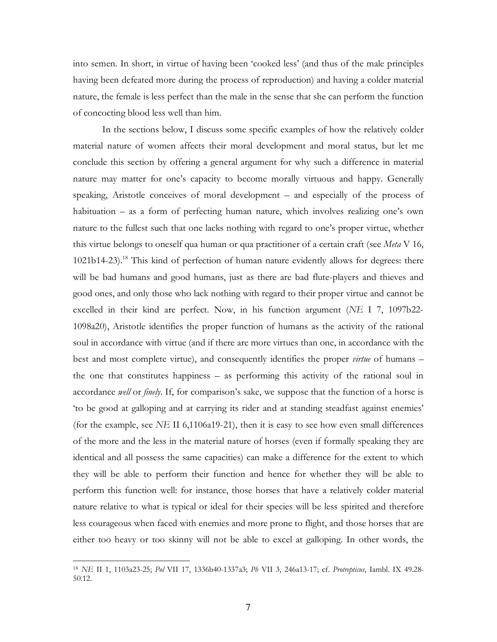into semen. In short, in virtue of having been 'cooked less' (and thus of the male principles having been defeated more during the process of reproduction) and having a colder material nature, the female is less perfect than the male in the sense that she can perform the function of concocting blood less well than him.

In the sections below, I discuss some specific examples of how the relatively colder material nature of women affects their moral development and moral status, but let me conclude this section by offering a general argument for why such a difference in material nature may matter for one's capacity to become morally virtuous and happy. Generally speaking, Aristotle conceives of moral development – and especially of the process of habituation – as a form of perfecting human nature, which involves realizing one's own nature to the fullest such that one lacks nothing with regard to one's proper virtue, whether this virtue belongs to oneself qua human or qua practitioner of a certain craft (see *Meta* V 16, 1021b14-23).<sup>18</sup> This kind of perfection of human nature evidently allows for degrees: there will be bad humans and good humans, just as there are bad flute-players and thieves and good ones, and only those who lack nothing with regard to their proper virtue and cannot be excelled in their kind are perfect. Now, in his function argument ( $NE$  I 7, 1097b22-1098a20), Aristotle identifies the proper function of humans as the activity of the rational soul in accordance with virtue (and if there are more virtues than one, in accordance with the best and most complete virtue), and consequently identifies the proper *virtue* of humans – the one that constitutes happiness  $-$  as performing this activity of the rational soul in accordance well or finely. If, for comparison's sake, we suppose that the function of a horse is to be good at galloping and at carrying its rider and at standing steadfast against enemies' (for the example, see NE II 6,1106a19-21), then it is easy to see how even small differences of the more and the less in the material nature of horses (even if formally speaking they are identical and all possess the same capacities) can make a difference for the extent to which they will be able to perform their function and hence for whether they will be able to perform this function well: for instance, those horses that have a relatively colder material nature relative to what is typical or ideal for their species will be less spirited and therefore less courageous when faced with enemies and more prone to flight, and those horses that are either too heavy or too skinny will not be able to excel at galloping. In other words, the

<sup>&</sup>lt;sup>18</sup> NE II 1, 1103a23-25; Pol VII 17, 1336b40-1337a3; Pb VII 3, 246a13-17; cf. Protrepticus, Iambl. IX 49.28-50.12.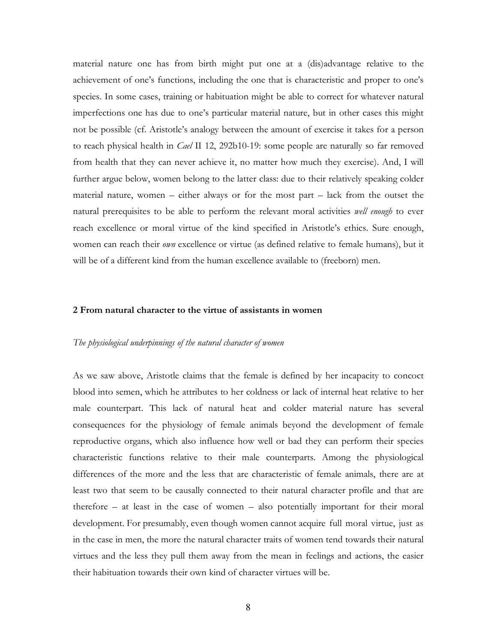material nature one has from birth might put one at a (dis)advantage relative to the achievement of one's functions, including the one that is characteristic and proper to one's species. In some cases, training or habituation might be able to correct for whatever natural imperfections one has due to one's particular material nature, but in other cases this might not be possible (cf. Aristotle's analogy between the amount of exercise it takes for a person to reach physical health in *Cael* II 12, 292b10-19: some people are naturally so far removed from health that they can never achieve it, no matter how much they exercise). And, I will further argue below, women belong to the latter class: due to their relatively speaking colder material nature, women – either always or for the most part – lack from the outset the natural prerequisites to be able to perform the relevant moral activities *well enough* to ever reach excellence or moral virtue of the kind specified in Aristotle's ethics. Sure enough, women can reach their *own* excellence or virtue (as defined relative to female humans), but it will be of a different kind from the human excellence available to (freeborn) men.

### **2 From natural character to the virtue of assistants in women**

#### *The physiological underpinnings of the natural character of women*

As we saw above, Aristotle claims that the female is defined by her incapacity to concoct blood into semen, which he attributes to her coldness or lack of internal heat relative to her male counterpart. This lack of natural heat and colder material nature has several consequences for the physiology of female animals beyond the development of female reproductive organs, which also influence how well or bad they can perform their species characteristic functions relative to their male counterparts. Among the physiological differences of the more and the less that are characteristic of female animals, there are at least two that seem to be causally connected to their natural character profile and that are therefore – at least in the case of women – also potentially important for their moral development. For presumably, even though women cannot acquire full moral virtue, just as in the case in men, the more the natural character traits of women tend towards their natural virtues and the less they pull them away from the mean in feelings and actions, the easier their habituation towards their own kind of character virtues will be.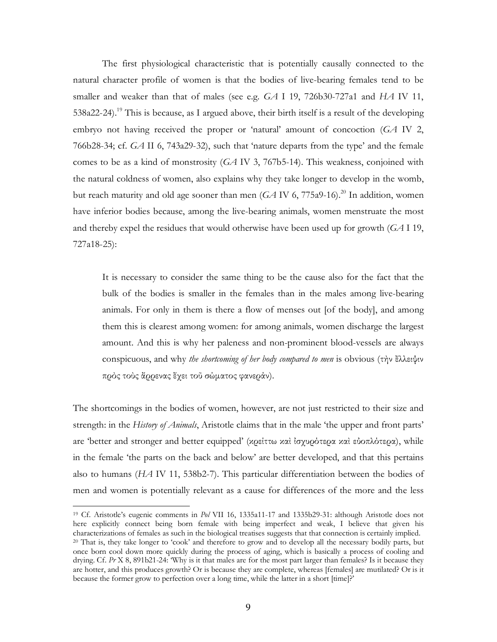The first physiological characteristic that is potentially causally connected to the natural character profile of women is that the bodies of live-bearing females tend to be smaller and weaker than that of males (see e.g. *GA* I 19, 726b30-727a1 and*HA* IV 11, 538a22-24).<sup>19</sup> This is because, as I argued above, their birth itself is a result of the developing embryo not having received the proper or 'natural' amount of concoction (*GA* IV 2, 766b28-34; cf. *GA* II 6, 743a29-32), such that 'nature departs from the type' and the female comes to be as a kind of monstrosity (*GA* IV 3, 767b5-14). This weakness, conjoined with the natural coldness of women, also explains why they take longer to develop in the womb, but reach maturity and old age sooner than men  $(GA IV 6, 775a9-16).^{20}$  In addition, women have inferior bodies because, among the live-bearing animals, women menstruate the most and thereby expel the residues that would otherwise have been used up for growth  $(GA I19,$ 727a18-25):

It is necessary to consider the same thing to be the cause also for the fact that the bulk of the bodies is smaller in the females than in the males among live-bearing animals. For only in them is there a flow of menses out [of the body], and among them this is clearest among women: for among animals, women discharge the largest amount. And this is why her paleness and non-prominent blood-vessels are always conspicuous,andwhy*the shortcoming of her body compared to men*isobvious(τὴνἔλλειψιν πρὸςτοὺςἄρρεναςἔχειτοῦσώµατοςφανεράν).

The shortcomings in the bodies of women, however, are not just restricted to their size and strength: in the *History of Animals*, Aristotle claims that in the male 'the upper and front parts' are 'better and stronger and better equipped' (κρείττω καὶ ἰσχυρότερα καὶ εὐοπλότερα), while in the female 'the parts on the back and below' are better developed, and that this pertains also to humans (*HA* IV 11, 538b2-7). This particular differentiation between the bodies of men and women is potentially relevant as a cause for differences of the more and the less

 $\overline{a}$ 

<sup>&</sup>lt;sup>19</sup> Cf. Aristotle's eugenic comments in Pol VII 16, 1335a11-17 and 1335b29-31: although Aristotle does not here explicitly connect being born female with being imperfect and weak, I believe that given his characterizations of females as such in the biological treatises suggests that that connection is certainly implied. <sup>20</sup> That is, they take longer to 'cook' and therefore to grow and to develop all the necessary bodily parts, but once born cool down more quickly during the process of aging, which is basically a process of cooling and drying. Cf. Pr X 8, 891b21-24: 'Why is it that males are for the most part larger than females? Is it because they are hotter, and this produces growth? Or is because they are complete, whereas [females] are mutilated? Or is it because the former grow to perfection over a long time, while the latter in a short [time]?'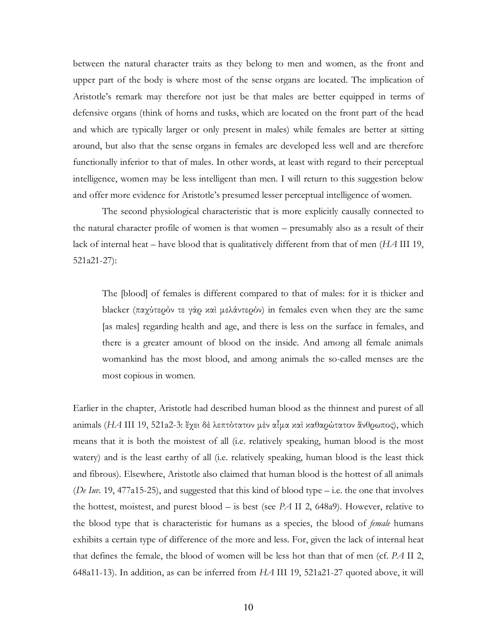between the natural character traits as they belong to men and women, as the front and upper part of the body is where most of the sense organs are located. The implication of Aristotle's remark may therefore not just be that males are better equipped in terms of defensive organs (think of horns and tusks, which are located on the front part of the head and which are typically larger or only present in males) while females are better at sitting around, but also that the sense organs in females are developed less well and are therefore functionally inferior to that of males. In other words, at least with regard to their perceptual intelligence, women may be less intelligent than men. I will return to this suggestion below and offer more evidence for Aristotle's presumed lesser perceptual intelligence of women.

The second physiological characteristic that is more explicitly causally connected to the natural character profile of women is that women – presumably also as a result of their lack of internal heat – have blood that is qualitatively different from that of men (*HA* III 19, 521a21-27):

The [blood] of females is different compared to that of males: for it is thicker and blacker (παχύτερόν τε γὰρ καὶ μελάντερόν) in females even when they are the same [as males] regarding health and age, and there is less on the surface in females, and there is a greater amount of blood on the inside. And among all female animals womankind hasthe most blood, and among animals the so-called menses are the most copious in women.

Earlier in the chapter, Aristotle had described human blood as the thinnest and purest of all animals (*HA* III 19, 521a2-3: ἔχει δὲ λεπτότατον μὲν αἷμα καὶ καθαρώτατον ἄνθρωπος), which means that it is both the moistest of all (i.e. relatively speaking, human blood is the most watery) and is the least earthy of all (i.e. relatively speaking, human blood is the least thick and fibrous). Elsewhere, Aristotle also claimed that human blood is the hottest of all animals (*De Iuv.* 19, 477a15-25), and suggested that this kind of blood type – i.e. the one that involves the hottest, moistest, and purest blood – is best (see  $PA$  II 2, 648a9). However, relative to the blood type that is characteristic for humans as a species, the blood of *female* humans exhibits a certain type of difference of the more and less. For, given the lack of internal heat that defines the female, the blood of women will be less hot than that of men (cf. *PA* II 2, 648a11-13). In addition, as can be inferred from HA III 19, 521a21-27 quoted above, it will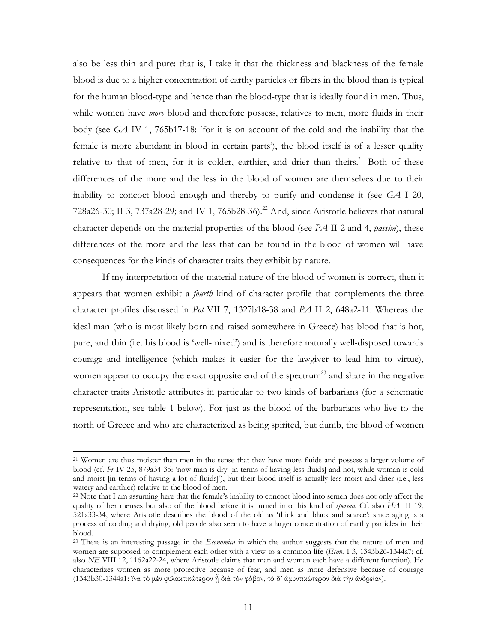also be less thin and pure: that is, I take it that the thickness and blackness of the female blood is due to a higher concentration of earthy particles or fibers in the blood than is typical for the human blood-type and hence than the blood-type that is ideally found in men. Thus, while women have *more* blood and therefore possess, relatives to men, more fluids in their body (see *GA IV 1, 765b17-18: 'for it is on account of the cold and the inability that the* female is more abundant in blood in certain parts'), the blood itself is of a lesser quality relative to that of men, for it is colder, earthier, and drier than theirs.<sup>21</sup> Both of these differences of the more and the less in the blood of women are themselves due to their inability to concoct blood enough and thereby to purify and condense it (see *GA* I 20, 728a26-30; II 3, 737a28-29; and IV 1, 765b28-36).<sup>22</sup> And, since Aristotle believes that natural character depends on the material properties of the blood (see *PA* II 2 and 4, *passim*), these differences of the more and the less that can be found in the blood of women will have consequences for the kinds of character traits they exhibit by nature.

If my interpretation of the material nature of the blood of women is correct, then it appears that women exhibit a *fourth* kind of character profile that complements the three character profiles discussed in *Pol* VII 7, 1327b18-38 and *PA* II 2, 648a2-11. Whereas the ideal man (who is most likely born and raised somewhere in Greece) has blood that is hot, pure, and thin (i.e. his blood is 'well-mixed') and is therefore naturally well-disposed towards courage and intelligence (which makes it easier for the lawgiver to lead him to virtue), women appear to occupy the exact opposite end of the spectrum<sup>23</sup> and share in the negative character traits Aristotle attributes in particular to two kinds of barbarians (for a schematic representation, see table 1 below). For just as the blood of the barbarians who live to the north of Greece and who are characterized as being spirited, but dumb, the blood of women

<sup>&</sup>lt;sup>21</sup> Women are thus moister than men in the sense that they have more fluids and possess a larger volume of blood (cf. Pr IV 25, 879a34-35: 'now man is dry [in terms of having less fluids] and hot, while woman is cold and moist [in terms of having a lot of fluids]'), but their blood itself is actually less moist and drier (i.e., less watery and earthier) relative to the blood of men.

 $^{22}$  Note that I am assuming here that the female's inability to concoct blood into semen does not only affect the quality of her menses but also of the blood before it is turned into this kind of *sperma*. Cf. also HA III 19, 521a33-34, where Aristotle describes the blood of the old as 'thick and black and scarce': since aging is a process of cooling and drying, old people also seem to have a larger concentration of earthy particles in their blood.

<sup>&</sup>lt;sup>23</sup> There is an interesting passage in the *Economica* in which the author suggests that the nature of men and women are supposed to complement each other with a view to a common life (*Econ.* I 3, 1343b26-1344a7; cf. also *NE* VIII 12, 1162a22-24, where Aristotle claims that man and woman each have a different function). He characterizes women as more protective because of fear, and men as more defensive because of courage (1343b30-1344a1:ἵνατὸµὲνφυλακτικώτερονᾖδιὰτὸνφόβον,τὸδ'ἀµυντικώτερονδιὰτὴνἀνδρείαν).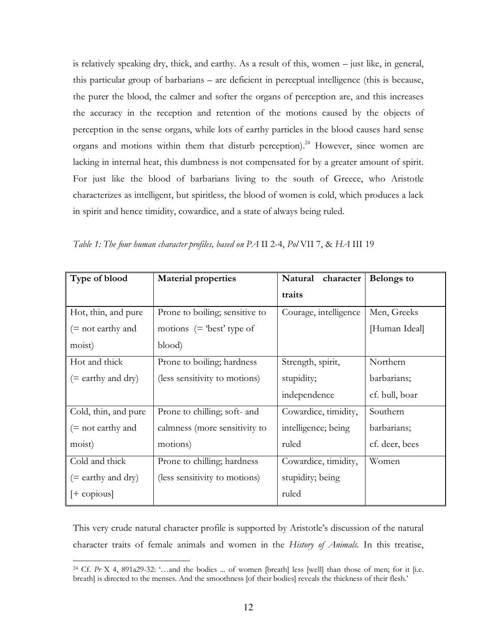is relatively speaking dry, thick, and earthy. As a result of this, women – just like, in general, this particular group of barbarians – are deficient in perceptual intelligence (this is because, the purer the blood, the calmer and softer the organs of perception are, and this increases the accuracy in the reception and retention of the motions caused by the objects of perception in the sense organs, while lots of earthy particles in the blood causes hard sense organs and motions within them that disturb perception).<sup>24</sup> However, since women are lacking in internal heat, this dumbness is not compensated for by a greater amount of spirit. For just like the blood of barbarians living to the south of Greece, who Aristotle characterizes as intelligent, but spiritless, the blood of women is cold, which produces a lack in spirit and hence timidity, cowardice, and a state of always being ruled.

| Type of blood        | <b>Material properties</b>     | Natural<br>character  | <b>Belongs to</b> |
|----------------------|--------------------------------|-----------------------|-------------------|
|                      |                                | traits                |                   |
| Hot, thin, and pure  | Prone to boiling; sensitive to | Courage, intelligence | Men, Greeks       |
| $(=$ not earthy and  | motions $(=$ 'best' type of    |                       | [Human Ideal]     |
| moist)               | blood)                         |                       |                   |
| Hot and thick        | Prone to boiling; hardness     | Strength, spirit,     | Northern          |
| (= earthy and dry)   | (less sensitivity to motions)  | stupidity;            | barbarians;       |
|                      |                                | independence          | cf. bull, boar    |
| Cold, thin, and pure | Prone to chilling; soft- and   | Cowardice, timidity,  | Southern          |
| $(=$ not earthy and  | calmness (more sensitivity to  | intelligence; being   | barbarians;       |
| moist)               | motions)                       | ruled                 | cf. deer, bees    |
| Cold and thick       | Prone to chilling; hardness    | Cowardice, timidity,  | Women             |
| $(=$ earthy and dry) | (less sensitivity to motions)  | stupidity; being      |                   |
| $[+$ copious]        |                                | ruled                 |                   |

*Table 1: The four human character profiles, based on PA* II2-4,*Pol* VII7,&*HA* III19

This very crude natural character profile is supported by Aristotle's discussion of the natural character traits of female animals and women in the *History of Animals.* In this treatise,

<sup>&</sup>lt;sup>24</sup> Cf. Pr X 4, 891a29-32: '...and the bodies ... of women [breath] less [well] than those of men; for it [i.e. breath] is directed to the menses. And the smoothness [of their bodies] reveals the thickness of their flesh.'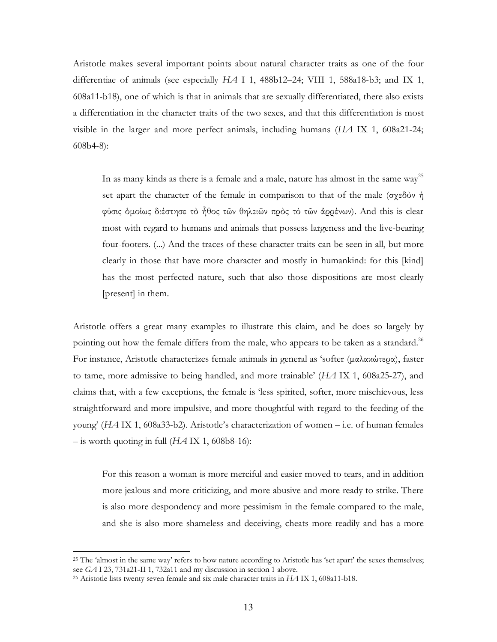Aristotle makes several important points about natural character traits as one of the four differentiae of animals (see especially *HA* I 1, 488b12–24; VIII 1, 588a18-b3; and IX 1, 608a11-b18), one of which is that in animals that are sexually differentiated, there also exists a differentiation in the character traits of the two sexes, and that this differentiation is most visible in the larger and more perfect animals, including humans (*HA* IX 1, 608a21-24; 608b4-8):

In as many kinds as there is a female and a male, nature has almost in the same way<sup>25</sup> set apart the character of the female in comparison to that of the male (σχεδόν ή φύσις δμοίως διέστησε τὸ ἦθος τῶν θηλειῶν πρὸς τὸ τῶν ἀρρένων). And this is clear most with regard to humans and animals that possess largeness and the live-bearing four-footers. (...) And the traces of these character traits can be seen in all, but more clearly in those that have more character and mostly in humankind: for this [kind] has the most perfected nature, such that also those dispositions are most clearly [present] in them.

Aristotle offers a great many examples to illustrate this claim, and he does so largely by pointing out how the female differs from the male, who appears to be taken as a standard.<sup>26</sup> For instance, Aristotle characterizes female animals in general as 'softer (μαλακώτερα), faster to tame, more admissive to being handled, and more trainable' (*HA* IX 1, 608a25-27), and claims that, with a few exceptions, the female is 'less spirited, softer, more mischievous, less straightforward and more impulsive, and more thoughtful with regard to the feeding of the young' (*HA* IX 1, 608a33-b2). Aristotle's characterization of women–i.e. of human females  $-$  is worth quoting in full ( $HA$  IX 1, 608b8-16):

For this reason a woman is more merciful and easier moved to tears, and in addition more jealous and more criticizing, and more abusive and more ready to strike. There is also more despondency and more pessimism in the female compared to the male, and she is also more shameless and deceiving, cheats more readily and has a more

<sup>&</sup>lt;sup>25</sup> The 'almost in the same way' refers to how nature according to Aristotle has 'set apart' the sexes themselves; see *GA* I 23, 731a21-II 1, 732a11 and my discussion in section 1 above.

<sup>26</sup>Aristotleliststwentysevenfemaleandsixmalecharactertraitsin*HA* IX1,608a11-b18.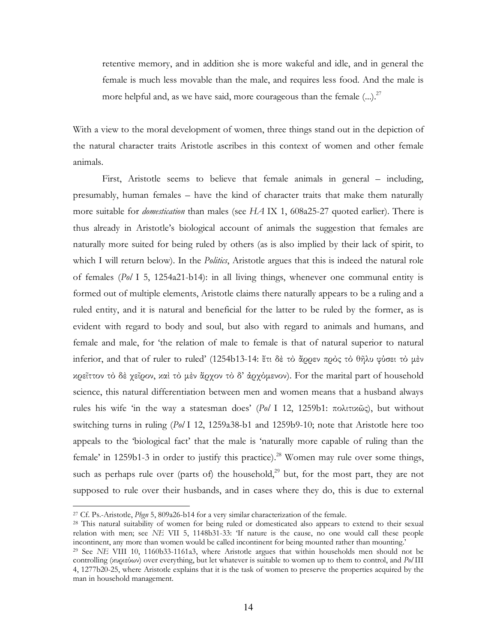retentive memory, and in addition she is more wakeful and idle, and in general the female is much less movable than the male, and requires less food. And the male is more helpful and, as we have said, more courageous than the female  $(...)$ <sup>27</sup>

With a view to the moral development of women, three things stand out in the depiction of the natural character traits Aristotle ascribes in this context of women and other female animals.

First, Aristotle seems to believe that female animals in general – including, presumably, human females – have the kind of character traits that make them naturally more suitable for *domestication* than males (see HA IX 1, 608a25-27 quoted earlier). There is thus already in Aristotle's biological account of animals the suggestion that females are naturally more suited for being ruled by others (as is also implied by their lack of spirit, to which I will return below). In the *Politics*, Aristotle argues that this is indeed the natural role of females (Pol I 5, 1254a21-b14): in all living things, whenever one communal entity is formed out of multiple elements, Aristotle claims there naturally appears to be a ruling and a ruled entity, and it is natural and beneficial for the latter to be ruled by the former, as is evident with regard to body and soul, but also with regard to animals and humans, and female and male, for 'the relation of male to female is that of natural superior to natural inferior, and that of ruler to ruled' (1254b13-14: ἔτι δὲ τὸ ἄρρεν πρὸς τὸ θῆλυ φύσει τὸ μὲν κρεῖττον τὸ δὲ γεῖρον, καὶ τὸ μὲν ἄργον τὸ δ' ἀργὸμενον). For the marital part of household science, this natural differentiation between men and women means that a husband always rules his wife 'in the way a statesman does' (Pol I 12, 1259b1: πολιτικώς), but without switching turns in ruling (Pol I 12, 1259a38-b1 and 1259b9-10; note that Aristotle here too appeals to the 'biological fact' that the male is 'naturally more capable of ruling than the female' in 1259b1-3 in order to justify this practice).<sup>28</sup> Women may rule over some things, such as perhaps rule over (parts of) the household,<sup>29</sup> but, for the most part, they are not supposed to rule over their husbands, and in cases where they do, this is due to external

<sup>&</sup>lt;sup>27</sup> Cf. Ps.-Aristotle, *Phgn* 5, 809a26-b14 for a very similar characterization of the female.

<sup>&</sup>lt;sup>28</sup> This natural suitability of women for being ruled or domesticated also appears to extend to their sexual relation with men; see NE VII 5, 1148b31-33: If nature is the cause, no one would call these people incontinent, any more than women would be called incontinent for being mounted rather than mounting.'

<sup>&</sup>lt;sup>29</sup> See NE VIII 10, 1160b33-1161a3, where Aristotle argues that within households men should not be controlling (xυριεύων) over everything, but let whatever is suitable to women up to them to control, and Pol III 4, 1277b20-25, where Aristotle explains that it is the task of women to preserve the properties acquired by the man in household management.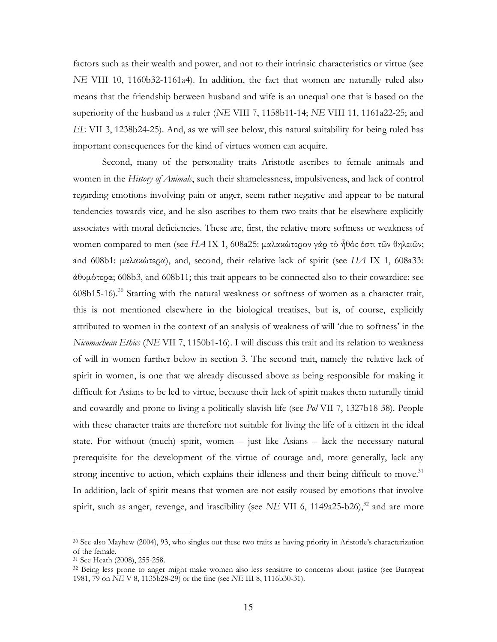factors such as their wealth and power, and not to their intrinsic characteristics or virtue (see *NE* VIII 10, 1160b32-1161a4). In addition, the fact that women are naturally ruled also means that the friendship between husband and wife is an unequal one that is based on the superiority of the husband as a ruler (*NE* VIII 7, 1158b11-14; *NE* VIII 11, 1161a22-25; and *EE* VII 3, 1238b24-25). And, as we will see below, this natural suitability for being ruled has important consequences for the kind of virtues women can acquire.

Second, many of the personality traits Aristotle ascribes to female animals and women in the *History of Animals*, such their shamelessness, impulsiveness, and lack of control regarding emotions involving pain or anger, seem rather negative and appear to be natural tendencies towards vice, and he also ascribes to them two traits that he elsewhere explicitly associates with moral deficiencies. These are, first, the relative more softness or weakness of women compared to men (see HA IX 1, 608a25: μαλακώτερον γάρ τὸ ἦθός ἐστι τῶν θηλειῶν; and 608b1: µαλακώτερα), and, second,their relative lack of spirit (see*HA* IX 1, 608a33:  $\frac{\partial \theta}{\partial \phi}$  (608b3, and 608b11; this trait appears to be connected also to their cowardice: see 608b15-16).<sup>30</sup> Starting with the natural weakness or softness of women as a character trait, this is not mentioned elsewhere in the biological treatises, but is, of course, explicitly attributed to women in the context of an analysis of weakness of will 'due to softness' in the *Nicomachean Ethics* (*NE VII 7, 1150b1-16*). I will discuss this trait and its relation to weakness of will in women further below in section 3. The second trait, namely the relative lack of spirit in women, is one that we already discussed above as being responsible for making it difficult for Asians to be led to virtue, because their lack of spirit makes them naturally timid and cowardly and prone to living a politically slavish life (see *Pol* VII 7, 1327b18-38). People with these character traits are therefore not suitable for living the life of a citizen in the ideal state. For without (much) spirit, women – just like Asians – lack the necessary natural prerequisite for the development of the virtue of courage and, more generally, lack any strong incentive to action, which explains their idleness and their being difficult to move.<sup>31</sup> In addition, lack of spirit means that women are not easily roused by emotions that involve spirit, such as anger, revenge, and irascibility (see  $NE$  VII 6, 1149a25-b26),<sup>32</sup> and are more

<sup>&</sup>lt;sup>30</sup> See also Mayhew (2004), 93, who singles out these two traits as having priority in Aristotle's characterization of the female.

<sup>&</sup>lt;sup>31</sup> See Heath (2008), 255-258.

<sup>&</sup>lt;sup>32</sup> Being less prone to anger might make women also less sensitive to concerns about justice (see Burnyeat 1981,79on*NE* V8,1135b28-29)orthefine(see*NE* III8,1116b30-31).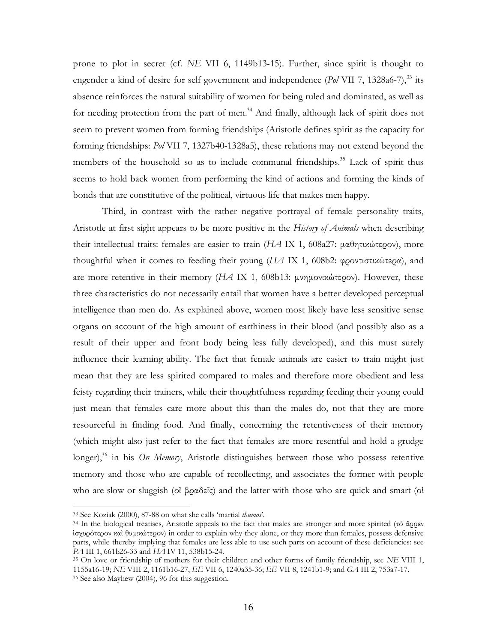prone to plot in secret (cf. *NE* VII 6, 1149b13-15). Further, since spirit is thought to engender a kind of desire for self government and independence  $(P_0/VII \ 7, 1328a6-7)$ ,<sup>33</sup> its absence reinforces the natural suitability of women for being ruled and dominated, as well as for needing protection from the part of men.<sup>34</sup> And finally, although lack of spirit does not seem to prevent women from forming friendships (Aristotle defines spirit as the capacity for forming friendships: *Pol* VII 7, 1327b40-1328a5), these relations may not extend beyond the members of the household so as to include communal friendships.<sup>35</sup> Lack of spirit thus seems to hold back women from performing the kind of actions and forming the kinds of bonds that are constitutive of the political, virtuous life that makes men happy.

Third, in contrast with the rather negative portrayal of female personality traits, Aristotle at first sight appears to be more positive in the *History of Animals* when describing their intellectual traits: females are easier to train (*HA* IX 1, 608a27: μαθητικώτερον), more thoughtful when it comes to feeding their young ( $H\mathcal{A}$  IX 1, 608b2: φροντιστικώτερα), and are more retentive in their memory  $(HA \, IX \, 1, 608b13$ :  $\mu\nu\eta\mu\text{ov}x\omega\tau\text{e}$ <sub>1</sub> However, these three characteristics do not necessarily entail that women have a better developed perceptual intelligence than men do. As explained above, women most likely have less sensitive sense organs on account of the high amount of earthiness in their blood (and possibly also as a result of their upper and front body being less fully developed), and this must surely influence their learning ability. The fact that female animals are easier to train might just mean that they are less spirited compared to males and therefore more obedient and less feisty regarding their trainers, while their thoughtfulness regarding feeding their young could just mean that females care more about this than the males do, not that they are more resourceful in finding food. And finally, concerning the retentiveness of their memory (which might also just refer to the fact that females are more resentful and hold a grudge longer),<sup>36</sup> in his *On Memory*, Aristotle distinguishes between those who possess retentive memory and those who are capable of recollecting, and associates the former with people who are slow or sluggish (οἱβραδεῖς) and the latter with those who are quick and smart (οἱ

 $\overline{a}$ 

<sup>33</sup>SeeKoziak(2000),87-88onwhatshecalls'martial*thumos*'.

<sup>&</sup>lt;sup>34</sup> In the biological treatises, Aristotle appeals to the fact that males are stronger and more spirited (τὸ ἄρρεν ἰσχυρότερονκαὶθυµικώτερον)inordertoexplainwhytheyalone,ortheymorethanfemales,possessdefensive parts, while thereby implying that females are less able to use such parts on account of these deficiencies: see *PA* III 1, 661b26-33 and *HA* IV 11, 538b15-24.

<sup>&</sup>lt;sup>35</sup> On love or friendship of mothers for their children and other forms of family friendship, see *NE* VIII 1, 1155a16-19;*NE* VIII2,1161b16-27,*EE* VII6,1240a35-36;*EE* VII8,1241b1-9;and*GA* III2,753a7-17. <sup>36</sup> See also Mayhew (2004), 96 for this suggestion.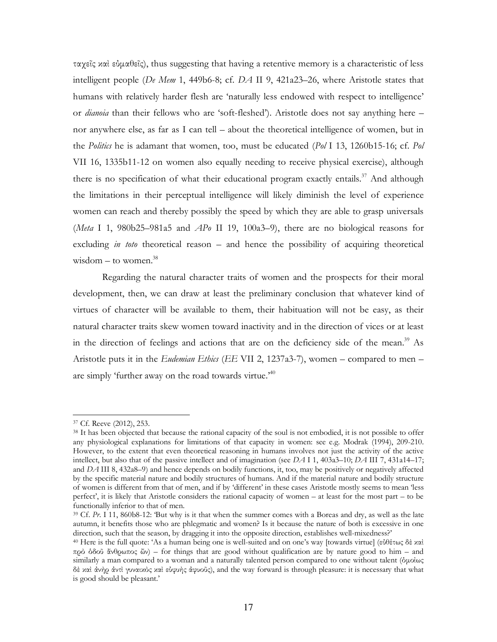ταγεῖς καὶ εὐμαθεῖς), thus suggesting that having a retentive memory is a characteristic of less intelligent people (De Mem 1, 449b6-8; cf. DA II 9, 421a23-26, where Aristotle states that humans with relatively harder flesh are 'naturally less endowed with respect to intelligence' or *dianoia* than their fellows who are 'soft-fleshed'). Aristotle does not say anything here – nor anywhere else, as far as I can tell - about the theoretical intelligence of women, but in the *Politics* he is adamant that women, too, must be educated  $(PoI\ 13, 1260b15-16; cf. Pol)$ VII 16, 1335b11-12 on women also equally needing to receive physical exercise), although there is no specification of what their educational program exactly entails.<sup>37</sup> And although the limitations in their perceptual intelligence will likely diminish the level of experience women can reach and thereby possibly the speed by which they are able to grasp universals (Meta I 1, 980b25–981a5 and  $AP_0$  II 19, 100a3–9), there are no biological reasons for excluding *in toto* theoretical reason  $-$  and hence the possibility of acquiring theoretical wisdom – to women. $38$ 

Regarding the natural character traits of women and the prospects for their moral development, then, we can draw at least the preliminary conclusion that whatever kind of virtues of character will be available to them, their habituation will not be easy, as their natural character traits skew women toward inactivity and in the direction of vices or at least in the direction of feelings and actions that are on the deficiency side of the mean.<sup>39</sup> As Aristotle puts it in the Eudemian Ethics (EE VII 2, 1237a3-7), women - compared to men are simply 'further away on the road towards virtue.'<sup>40</sup>

<sup>&</sup>lt;sup>37</sup> Cf. Reeve (2012), 253.

<sup>&</sup>lt;sup>38</sup> It has been objected that because the rational capacity of the soul is not embodied, it is not possible to offer any physiological explanations for limitations of that capacity in women: see e.g. Modrak (1994), 209-210. However, to the extent that even theoretical reasoning in humans involves not just the activity of the active intellect, but also that of the passive intellect and of imagination (see  $DA11$ , 403a3–10;  $DAIII7$ , 431a14–17; and DA III 8, 432a8–9) and hence depends on bodily functions, it, too, may be positively or negatively affected by the specific material nature and bodily structures of humans. And if the material nature and bodily structure of women is different from that of men, and if by 'different' in these cases Aristotle mostly seems to mean 'less perfect', it is likely that Aristotle considers the rational capacity of women – at least for the most part – to be functionally inferior to that of men.

<sup>&</sup>lt;sup>39</sup> Cf. Pr. I 11, 860b8-12: But why is it that when the summer comes with a Boreas and dry, as well as the late autumn, it benefits those who are phlegmatic and women? Is it because the nature of both is excessive in one direction, such that the season, by dragging it into the opposite direction, establishes well-mixedness?'

<sup>&</sup>lt;sup>40</sup> Here is the full quote: 'As a human being one is well-suited and on one's way [towards virtue] (εὐθέτως δὲ καὶ πρό δδοῦ ἄνθρωπος ὤν) – for things that are good without qualification are by nature good to him – and similarly a man compared to a woman and a naturally talented person compared to one without talent (δμοίως δέ και άνήρ άντι γυναικός και εύφυής άφυοῦς), and the way forward is through pleasure: it is necessary that what is good should be pleasant.'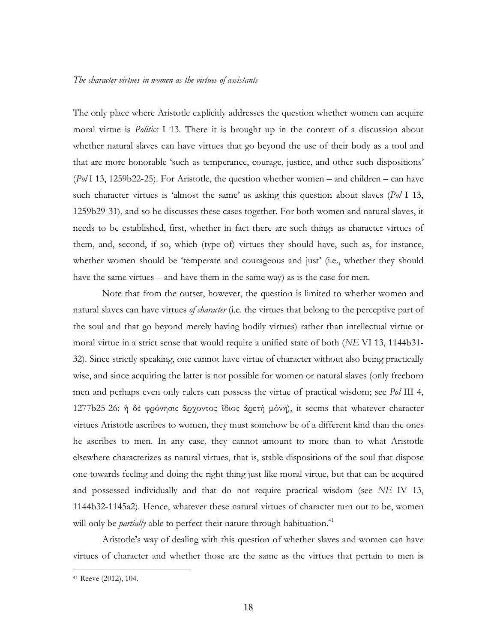The only place where Aristotle explicitly addresses the question whether women can acquire moral virtue is *Politics* I 13. There it is brought up in the context of a discussion about whether natural slaves can have virtues that go beyond the use of their body as a tool and that are more honorable 'such as temperance, courage, justice, and other such dispositions'  $(P_0/113, 1259b22-25)$ . For Aristotle, the question whether women – and children – can have such character virtues is 'almost the same' as asking this question about slaves (*Pol* I 13, 1259b29-31), and so he discusses these cases together. For both women and natural slaves, it needs to be established, first, whether in fact there are such things as character virtues of them, and, second, if so, which (type of) virtues they should have, such as, for instance, whether women should be 'temperate and courageous and just' (i.e., whether they should have the same virtues – and have them in the same way) as is the case for men.

Note that from the outset, however, the question is limited to whether women and natural slaves can have virtues *of character* (i.e. the virtues that belong to the perceptive part of the soul and that go beyond merely having bodily virtues) rather than intellectual virtue or moral virtue in a strict sense that would require a unified state of both (*NE VI 13*, 1144b31-32). Since strictly speaking, one cannot have virtue of character without also being practically wise, and since acquiring the latter is not possible for women or natural slaves (only freeborn men and perhaps even only rulers can possess the virtue of practical wisdom; see Pol III 4, 1277b25-26: ἡ δὲ φρόνησις ἄρχοντος ἴδιος ἀρετὴ µόνη), it seems that whatever character virtues Aristotle ascribes to women, they must somehow be of a different kind than the ones he ascribes to men. In any case, they cannot amount to more than to what Aristotle elsewhere characterizes as natural virtues, that is, stable dispositions of the soul that dispose one towards feeling and doing the right thing just like moral virtue, but that can be acquired and possessed individually and that do not require practical wisdom (see *NE* IV 13, 1144b32-1145a2). Hence, whatever these natural virtues of character turn out to be, women will only be *partially* able to perfect their nature through habituation.<sup>41</sup>

Aristotle's way of dealing with this question of whether slaves and women can have virtues of character and whether those are the same as the virtues that pertain to men is

 $\overline{a}$ 

<sup>&</sup>lt;sup>41</sup> Reeve (2012), 104.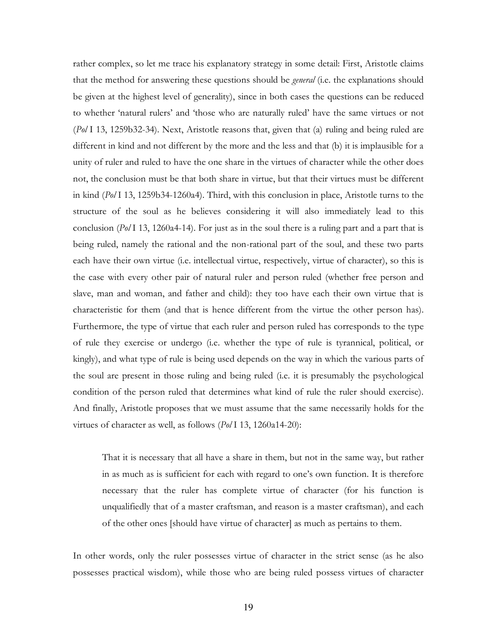rather complex, so let me trace his explanatory strategy in some detail: First, Aristotle claims that the method for answering these questions should be *general* (i.e. the explanations should be given at the highest level of generality), since in both cases the questions can be reduced to whether 'natural rulers' and 'those who are naturally ruled' have the same virtues or not (Pol I 13, 1259b32-34). Next, Aristotle reasons that, given that (a) ruling and being ruled are different in kind and not different by the more and the less and that (b) it is implausible for a unity of ruler and ruled to have the one share in the virtues of character while the other does not, the conclusion must be that both share in virtue, but that their virtues must be different in kind  $(P_0/113, 1259b34-1260a4)$ . Third, with this conclusion in place, Aristotle turns to the structure of the soul as he believes considering it will also immediately lead to this conclusion ( $P_0$ /I 13, 1260a4-14). For just as in the soul there is a ruling part and a part that is being ruled, namely the rational and the non-rational part of the soul, and these two parts each have their own virtue (i.e. intellectual virtue, respectively, virtue of character), so this is the case with every other pair of natural ruler and person ruled (whether free person and slave, man and woman, and father and child): they too have each their own virtue that is characteristic for them (and that is hence different from the virtue the other person has). Furthermore, the type of virtue that each ruler and person ruled has corresponds to the type of rule they exercise or undergo (i.e. whether the type of rule is tyrannical, political, or kingly), and what type of rule is being used depends on the way in which the various parts of the soul are present in those ruling and being ruled (i.e. it is presumably the psychological condition of the person ruled that determines what kind of rule the ruler should exercise). And finally, Aristotle proposes that we must assume that the same necessarily holds for the virtues of character as well, as follows (Pol I 13, 1260a14-20):

That it is necessary that all have a share in them, but not in the same way, but rather in as much as is sufficient for each with regard to one's own function. It is therefore necessary that the ruler has complete virtue of character (for his function is unqualifiedly that of a master craftsman, and reason is a master craftsman), and each of the other ones [should have virtue of character] as much as pertains to them.

In other words, only the ruler possesses virtue of character in the strict sense (as he also possesses practical wisdom), while those who are being ruled possess virtues of character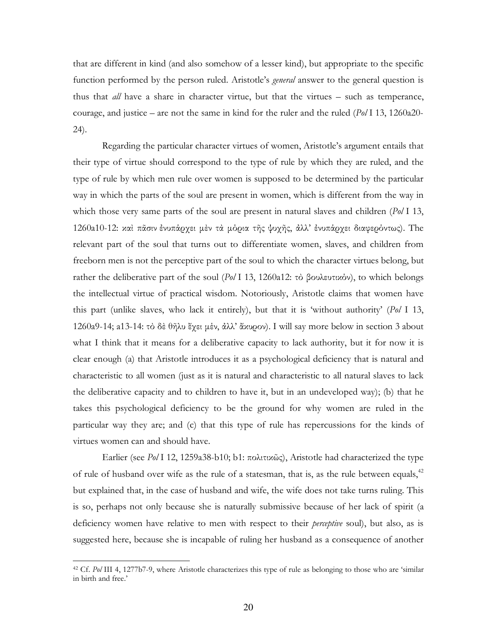that are different in kind (and also somehow of a lesser kind), but appropriate to the specific function performed by the person ruled. Aristotle's *general* answer to the general question is thus that *all* have a share in character virtue, but that the virtues – such as temperance, courage, and justice – are not the same in kind for the ruler and the ruled  $(P_0/113, 1260a20 24).$ 

Regarding the particular character virtues of women, Aristotle's argument entails that their type of virtue should correspond to the type of rule by which they are ruled, and the type of rule by which men rule over women is supposed to be determined by the particular way in which the parts of the soul are present in women, which is different from the way in which those very same parts of the soul are present in natural slaves and children ( $Pol$  I 13, 1260a10-12: και πάσιν ένυπάρχει μέν τα μόρια της ψυχης, άλλ' ένυπάρχει διαφερόντως). The relevant part of the soul that turns out to differentiate women, slaves, and children from freeborn men is not the perceptive part of the soul to which the character virtues belong, but rather the deliberative part of the soul ( $Pol$  I 13, 1260a12: τὸ βουλευτικόν), to which belongs the intellectual virtue of practical wisdom. Notoriously, Aristotle claims that women have this part (unlike slaves, who lack it entirely), but that it is 'without authority' ( $Pol$  I 13, 1260a9-14; a13-14: τὸ δὲ θῆλυ ἔγει μέν, ἀλλ' ἄχυρον). I will say more below in section 3 about what I think that it means for a deliberative capacity to lack authority, but it for now it is clear enough (a) that Aristotle introduces it as a psychological deficiency that is natural and characteristic to all women (just as it is natural and characteristic to all natural slaves to lack the deliberative capacity and to children to have it, but in an undeveloped way); (b) that he takes this psychological deficiency to be the ground for why women are ruled in the particular way they are; and (c) that this type of rule has repercussions for the kinds of virtues women can and should have.

Earlier (see Pol I 12, 1259a38-b10; b1: πολιτικῶς), Aristotle had characterized the type of rule of husband over wife as the rule of a statesman, that is, as the rule between equals,<sup>42</sup> but explained that, in the case of husband and wife, the wife does not take turns ruling. This is so, perhaps not only because she is naturally submissive because of her lack of spirit (a deficiency women have relative to men with respect to their *perceptive* soul), but also, as is suggested here, because she is incapable of ruling her husband as a consequence of another

<sup>&</sup>lt;sup>42</sup> Cf. Pol III 4, 1277b7-9, where Aristotle characterizes this type of rule as belonging to those who are 'similar in birth and free.'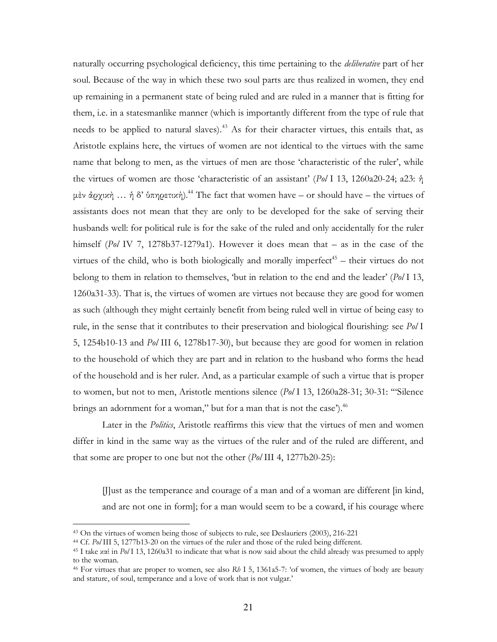naturally occurring psychological deficiency, this time pertaining to the *deliberative* part of her soul. Because of the way in which these two soul parts are thus realized in women, they end up remaining in a permanent state of being ruled and are ruled in a manner that is fitting for them, i.e. in a statesmanlike manner (which is importantly different from the type of rule that needs to be applied to natural slaves).<sup>43</sup> As for their character virtues, this entails that, as Aristotle explains here, the virtues of women are not identical to the virtues with the same name that belong to men, as the virtues of men are those 'characteristic of the ruler', while the virtues of women are those 'characteristic of an assistant' ( $Pol$  I 13, 1260a20-24; a23:  $\eta$ ) μέν άρχική ... ή δ' ύπηρετική).<sup>44</sup> The fact that women have – or should have – the virtues of assistants does not mean that they are only to be developed for the sake of serving their husbands well: for political rule is for the sake of the ruled and only accidentally for the ruler himself (Pol IV 7, 1278b37-1279a1). However it does mean that  $-$  as in the case of the virtues of the child, who is both biologically and morally imperfect<sup>45</sup> – their virtues do not belong to them in relation to themselves, 'but in relation to the end and the leader'  $(P_0/113, P_0/113)$ 1260a31-33). That is, the virtues of women are virtues not because they are good for women as such (although they might certainly benefit from being ruled well in virtue of being easy to rule, in the sense that it contributes to their preservation and biological flourishing: see Pol I 5, 1254b10-13 and Pol III 6, 1278b17-30), but because they are good for women in relation to the household of which they are part and in relation to the husband who forms the head of the household and is her ruler. And, as a particular example of such a virtue that is proper to women, but not to men, Aristotle mentions silence (Pol I 13, 1260a28-31; 30-31: "Silence brings an adornment for a woman," but for a man that is not the case").<sup>46</sup>

Later in the *Politics*, Aristotle reaffirms this view that the virtues of men and women differ in kind in the same way as the virtues of the ruler and of the ruled are different, and that some are proper to one but not the other  $(P_0/III\ 4, 1277b20-25)$ :

[J]ust as the temperance and courage of a man and of a woman are different [in kind, and are not one in form]; for a man would seem to be a coward, if his courage where

<sup>&</sup>lt;sup>43</sup> On the virtues of women being those of subjects to rule, see Deslauriers (2003), 216-221

<sup>&</sup>lt;sup>44</sup> Cf. Pol III 5, 1277b13-20 on the virtues of the ruler and those of the ruled being different.

<sup>&</sup>lt;sup>45</sup> I take xot in Pol I 13, 1260a31 to indicate that what is now said about the child already was presumed to apply to the woman.

<sup>&</sup>lt;sup>46</sup> For virtues that are proper to women, see also  $Rb$  I 5, 1361a5-7: 'of women, the virtues of body are beauty and stature, of soul, temperance and a love of work that is not vulgar.'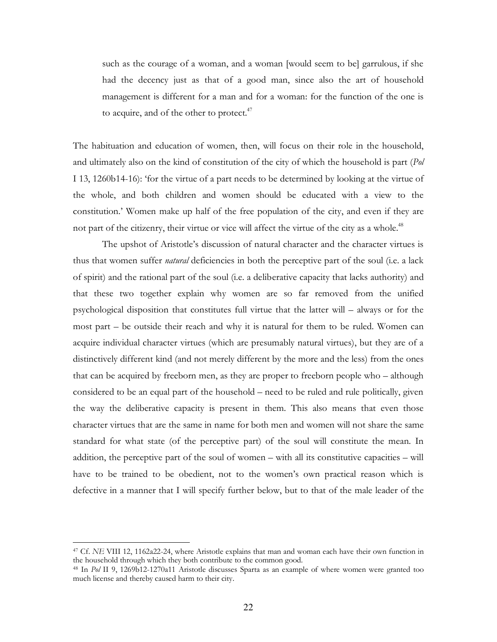such as the courage of a woman, and a woman [would seem to be] garrulous, if she had the decency just as that of a good man, since also the art of household management is different for a man and for a woman: for the function of the one is to acquire, and of the other to protect.<sup>47</sup>

The habituation and education of women, then, will focus on their role in the household, and ultimately also on the kind of constitution of the city of which the household is part (*Pol* I 13, 1260b14-16): 'for the virtue of a part needs to be determined by looking at the virtue of the whole, and both children and women should be educated with a view to the constitution.' Women make up half of the free population of the city, and even if they are not part of the citizenry, their virtue or vice will affect the virtue of the city as a whole.<sup>48</sup>

The upshot of Aristotle's discussion of natural character and the character virtues is thus that women suffer *natural* deficiencies in both the perceptive part of the soul (i.e. a lack of spirit) and the rational part of the soul (i.e. a deliberative capacity that lacks authority) and that these two together explain why women are so far removed from the unified psychological disposition that constitutes full virtue that the latter will  $-$  always or for the most part – be outside their reach and why it is natural for them to be ruled. Women can acquire individual character virtues (which are presumably natural virtues), but they are of a distinctively different kind (and not merely different by the more and the less) from the ones that can be acquired by freeborn men, as they are proper to freeborn people who – although considered to be an equal part of the household – need to be ruled and rule politically, given the way the deliberative capacity is present in them. This also means that even those character virtues that are the same in name for both men and women will not share the same standard for what state (of the perceptive part) of the soul will constitute the mean. In addition, the perceptive part of the soul of women – with all its constitutive capacities – will have to be trained to be obedient, not to the women's own practical reason which is defective in a manner that I will specify further below, but to that of the male leader of the

<sup>&</sup>lt;sup>47</sup> Cf. NE VIII 12, 1162a22-24, where Aristotle explains that man and woman each have their own function in the household through which they both contribute to the common good.

<sup>&</sup>lt;sup>48</sup> In Pol II 9, 1269b12-1270a11 Aristotle discusses Sparta as an example of where women were granted too much license and thereby caused harm to their city.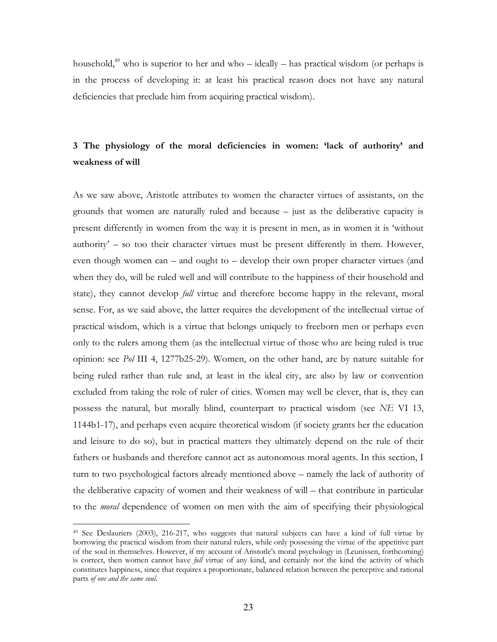household,<sup>49</sup> who is superior to her and who – ideally – has practical wisdom (or perhaps is in the process of developing it: at least his practical reason does not have any natural deficiencies that preclude him from acquiring practical wisdom).

# 3 The physiology of the moral deficiencies in women: 'lack of authority' and weakness of will

As we saw above, Aristotle attributes to women the character virtues of assistants, on the grounds that women are naturally ruled and because  $-$  just as the deliberative capacity is present differently in women from the way it is present in men, as in women it is 'without authority' - so too their character virtues must be present differently in them. However, even though women can – and ought to – develop their own proper character virtues (and when they do, will be ruled well and will contribute to the happiness of their household and state), they cannot develop *full* virtue and therefore become happy in the relevant, moral sense. For, as we said above, the latter requires the development of the intellectual virtue of practical wisdom, which is a virtue that belongs uniquely to freeborn men or perhaps even only to the rulers among them (as the intellectual virtue of those who are being ruled is true opinion: see Pol III 4, 1277b25-29). Women, on the other hand, are by nature suitable for being ruled rather than rule and, at least in the ideal city, are also by law or convention excluded from taking the role of ruler of cities. Women may well be clever, that is, they can possess the natural, but morally blind, counterpart to practical wisdom (see NE VI 13, 1144b1-17), and perhaps even acquire theoretical wisdom (if society grants her the education and leisure to do so), but in practical matters they ultimately depend on the rule of their fathers or husbands and therefore cannot act as autonomous moral agents. In this section, I turn to two psychological factors already mentioned above – namely the lack of authority of the deliberative capacity of women and their weakness of will – that contribute in particular to the *moral* dependence of women on men with the aim of specifying their physiological

<sup>&</sup>lt;sup>49</sup> See Deslauriers (2003), 216-217, who suggests that natural subjects can have a kind of full virtue by borrowing the practical wisdom from their natural rulers, while only possessing the virtue of the appetitive part of the soul in themselves. However, if my account of Aristotle's moral psychology in (Leunissen, forthcoming) is correct, then women cannot have *full* virtue of any kind, and certainly not the kind the activity of which constitutes happiness, since that requires a proportionate, balanced relation between the perceptive and rational parts of one and the same soul.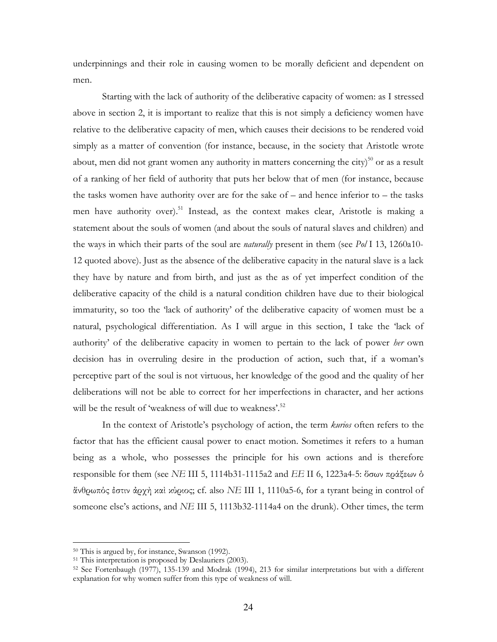underpinnings and their role in causing women to be morally deficient and dependent on men.

Starting with the lack of authority of the deliberative capacity of women: as I stressed above in section 2, it is important to realize that this is not simply a deficiency women have relative to the deliberative capacity of men, which causes their decisions to be rendered void simply as a matter of convention (for instance, because, in the society that Aristotle wrote about, men did not grant women any authority in matters concerning the city)<sup>50</sup> or as a result of a ranking of her field of authority that puts her below that of men (for instance, because the tasks women have authority over are for the sake of  $-$  and hence inferior to  $-$  the tasks men have authority over).<sup>51</sup> Instead, as the context makes clear, Aristotle is making a statement about the souls of women (and about the souls of natural slaves and children) and the ways in which their parts of the soul are *naturally* present in them (see Pol I 13, 1260a10-12 quoted above). Just as the absence of the deliberative capacity in the natural slave is a lack they have by nature and from birth, and just as the as of yet imperfect condition of the deliberative capacity of the child is a natural condition children have due to their biological immaturity, so too the 'lack of authority' of the deliberative capacity of women must be a natural, psychological differentiation. As I will argue in this section, I take the 'lack of authority' of the deliberative capacity in women to pertain to the lack of power her own decision has in overruling desire in the production of action, such that, if a woman's perceptive part of the soul is not virtuous, her knowledge of the good and the quality of her deliberations will not be able to correct for her imperfections in character, and her actions will be the result of 'weakness of will due to weakness'.<sup>52</sup>

In the context of Aristotle's psychology of action, the term *kurios* often refers to the factor that has the efficient causal power to enact motion. Sometimes it refers to a human being as a whole, who possesses the principle for his own actions and is therefore responsible for them (see NE III 5, 1114b31-1115a2 and EE II 6, 1223a4-5: δσων πράξεων δ άνθρωπός έστιν άρχη και κύριος; cf. also NE III 1, 1110a5-6, for a tyrant being in control of someone else's actions, and NE III 5, 1113b32-1114a4 on the drunk). Other times, the term

<sup>&</sup>lt;sup>50</sup> This is argued by, for instance, Swanson (1992).

<sup>&</sup>lt;sup>51</sup> This interpretation is proposed by Deslauriers (2003).

<sup>&</sup>lt;sup>52</sup> See Fortenbaugh (1977), 135-139 and Modrak (1994), 213 for similar interpretations but with a different explanation for why women suffer from this type of weakness of will.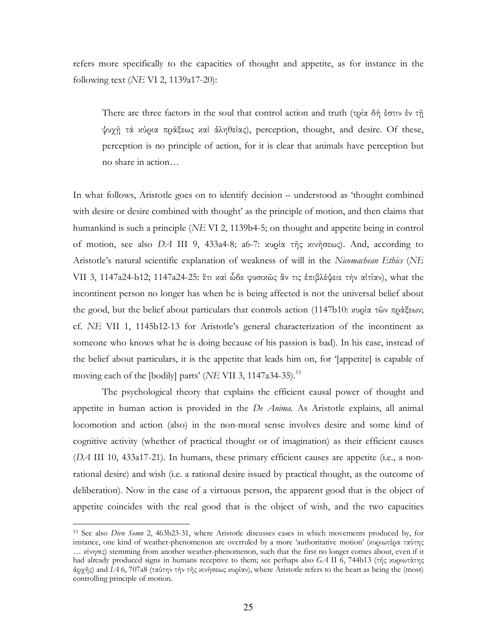refers more specifically to the capacities of thought and appetite, as for instance in the following text (*NE VI 2*, 1139a17-20):

There are three factors in the soul that control action and truth (τρία δή έστιν έν τῆ ψυχῇ τὰ κύρια πράξεως καὶ ἀληθείας), perception, thought, and desire. Of these, perception is no principle of action, for it is clear that animals have perception but no share in action…

In what follows, Aristotle goes on to identify decision – understood as 'thought combined with desire or desire combined with thought' as the principle of motion, and then claims that humankind is such a principle (*NE VI 2*, 1139b4-5; on thought and appetite being in control of motion, see also *DA* III 9, 433a4-8; a6-7: κυρία τῆς κινήσεως). And, according to Aristotle's natural scientific explanation of weakness of will in the *Nicomachean Ethics* (*NE* VII 3, 1147a24-b12; 1147a24-25: ἔτι καὶ ὧδε φυσικῶς ἄν τις ἐπιβλέψειε τὴν αἰτίαν), what the incontinent person no longer has when he is being affected is not the universal belief about the good, but the belief about particulars that controls action (1147b10: κυρία τῶν πράξεων; cf. *NE* VII 1, 1145b12-13 for Aristotle's general characterization of the incontinent as someone who knows what he is doing because of his passion is bad). In his case, instead of the belief about particulars, it is the appetite that leads him on, for '[appetite] is capable of moving each of the [bodily] parts' (*NE VII 3*, 1147a34-35).<sup>53</sup>

The psychological theory that explains the efficient causal power of thought and appetite in human action is provided in the *De Anima*. As Aristotle explains, all animal locomotion and action (also) in the non-moral sense involves desire and some kind of cognitive activity (whether of practical thought or of imagination) as their efficient causes  $(DA \text{ III } 10, 433a17-21)$ . In humans, these primary efficient causes are appetite (i.e., a nonrational desire) and wish (i.e. a rational desire issued by practical thought, as the outcome of deliberation). Now in the case of a virtuous person, the apparent good that is the object of appetite coincides with the real good that is the object of wish, and the two capacities

<sup>53</sup> See also *Divn Somn* 2, 463b23-31, where Aristotle discusses cases inwhich movements produced by, for instance, one kind of weather-phenomenon are overruled by a more 'authoritative motion' (κυριωτέρα ταύτης … κίνησις) stemming from another weather-phenomenon, such that the first no longer comes about, even if it had already produced signsin humans receptivetothem; see perhaps also*GA* II6,744b13(τῆςκυριωτάτης ἀρχῆς)and*IA* 6,707a8(ταύτηντὴντῆςκινήσεωςκυρίαν),whereAristotlereferstotheheartasbeingthe(most) controlling principle of motion.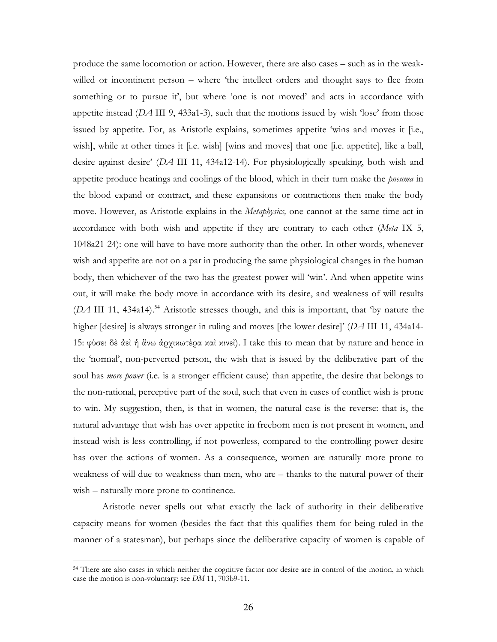produce the same locomotion or action. However, there are also cases – such as in the weakwilled or incontinent person – where 'the intellect orders and thought says to flee from something or to pursue it', but where 'one is not moved' and acts in accordance with appetite instead  $(DA \text{ III } 9, 433a1-3)$ , such that the motions issued by wish 'lose' from those issued by appetite. For, as Aristotle explains, sometimes appetite 'wins and moves it [i.e., wish], while at other times it [i.e. wish] [wins and moves] that one [i.e. appetite], like a ball, desire against desire'(*DA* III 11, 434a12-14). For physiologically speaking, bothwish and appetite produce heatings and coolings of the blood, which in their turn make the *pneuma* in the blood expand or contract, and these expansions or contractions then make the body move. However, as Aristotle explains in the *Metaphysics*, one cannot at the same time act in accordance with both wish and appetite if they are contrary to each other (*Meta* IX 5, 1048a21-24): one will have to have more authority than the other. In other words, whenever wish and appetite are not on a par in producing the same physiological changes in the human body, then whichever of the two has the greatest power will 'win'. And when appetite wins out, it will make the body move in accordance with its desire, and weakness of will results  $(DA \text{ III } 11, 434a14).$ <sup>54</sup> Aristotle stresses though, and this is important, that 'by nature the higher [desire] is always stronger in ruling and moves [the lower desire]' (*DA* III 11, 434a14-15: φύσει δὲ ἀεὶ ἡ ἄνω ἀρχικωτέρα καὶ κινεῖ). I take this to mean that by nature and hence in the 'normal', non-perverted person, the wish that is issued by the deliberative part of the soul has *more power* (i.e. is a stronger efficient cause) than appetite, the desire that belongs to the non-rational, perceptive part of the soul, such that even in cases of conflict wish is prone to win. My suggestion, then, is that in women, the natural case is the reverse: that is, the natural advantage that wish has over appetite in freeborn men is not present in women, and instead wish is less controlling, if not powerless, compared to the controlling power desire has over the actions of women. As a consequence, women are naturally more prone to weakness of will due to weakness than men, who are – thanks to the natural power of their wish – naturally more prone to continence.

 Aristotle never spells out what exactly the lack of authority in their deliberative capacity means for women (besides the fact that this qualifies them for being ruled in the manner of a statesman), but perhaps since the deliberative capacity of women is capable of

 $\overline{a}$ 

<sup>&</sup>lt;sup>54</sup> There are also cases in which neither the cognitive factor nor desire are in control of the motion, in which case the motion is non-voluntary: see *DM* 11, 703b9-11.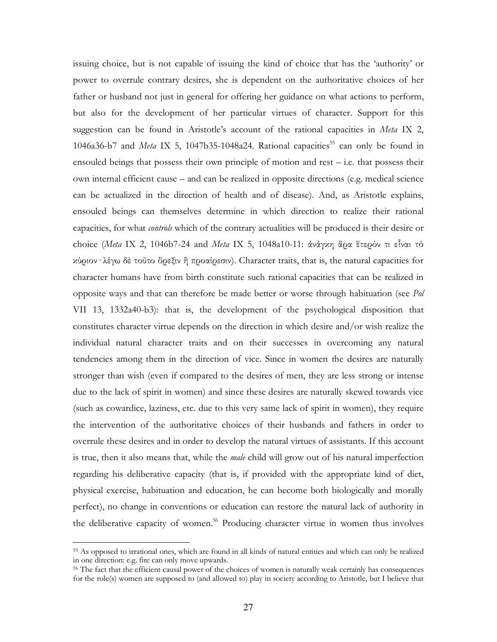issuing choice, but is not capable of issuing the kind of choice that has the 'authority' or power to overrule contrary desires, she is dependent on the authoritative choices of her father or husband not just in general for offering her guidance on what actions to perform, but also for the development of her particular virtues of character. Support for this suggestion can be found in Aristotle's account of the rational capacities in Meta IX 2, 1046a36-b7 and *Meta* IX 5, 1047b35-1048a24. Rational capacities<sup>55</sup> can only be found in ensouled beings that possess their own principle of motion and rest  $-$  i.e. that possess their own internal efficient cause – and can be realized in opposite directions (e.g. medical science can be actualized in the direction of health and of disease). And, as Aristotle explains, ensouled beings can themselves determine in which direction to realize their rational capacities, for what *controls* which of the contrary actualities will be produced is their desire or choice (Meta IX 2, 1046b7-24 and Meta IX 5, 1048a10-11: άνάγκη άρα έτερόν τι εἶναι τό κύριον λέγω δε τοῦτο ὄρεξιν ἢ προαίρεσιν). Character traits, that is, the natural capacities for character humans have from birth constitute such rational capacities that can be realized in opposite ways and that can therefore be made better or worse through habituation (see Pol VII 13, 1332a40-b3): that is, the development of the psychological disposition that constitutes character virtue depends on the direction in which desire and/or wish realize the individual natural character traits and on their successes in overcoming any natural tendencies among them in the direction of vice. Since in women the desires are naturally stronger than wish (even if compared to the desires of men, they are less strong or intense due to the lack of spirit in women) and since these desires are naturally skewed towards vice (such as cowardice, laziness, etc. due to this very same lack of spirit in women), they require the intervention of the authoritative choices of their husbands and fathers in order to overrule these desires and in order to develop the natural virtues of assistants. If this account is true, then it also means that, while the *male* child will grow out of his natural imperfection regarding his deliberative capacity (that is, if provided with the appropriate kind of diet, physical exercise, habituation and education, he can become both biologically and morally perfect), no change in conventions or education can restore the natural lack of authority in the deliberative capacity of women.<sup>56</sup> Producing character virtue in women thus involves

<sup>55</sup> As opposed to irrational ones, which are found in all kinds of natural entities and which can only be realized in one direction: e.g. fire can only move upwards.

<sup>&</sup>lt;sup>56</sup> The fact that the efficient causal power of the choices of women is naturally weak certainly has consequences for the role(s) women are supposed to (and allowed to) play in society according to Aristotle, but I believe that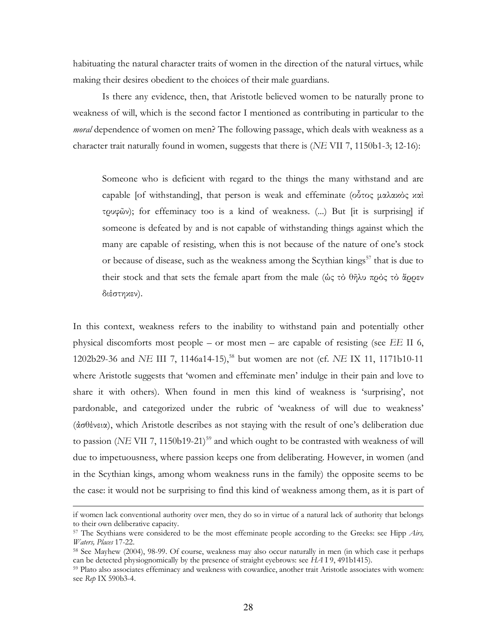habituating the natural character traits of women in the direction of the natural virtues, while making their desires obedient to the choices of their male guardians.

Is there any evidence, then, that Aristotle believed women to be naturally prone to weakness of will, which is the second factor I mentioned as contributing in particular to the moral dependence of women on men? The following passage, which deals with weakness as a character trait naturally found in women, suggests that there is (NE VII 7, 1150b1-3; 12-16):

Someone who is deficient with regard to the things the many withstand and are capable [of withstanding], that person is weak and effeminate ( $\omega$  $\delta \tau$ oc  $\mu \alpha \lambda \alpha \chi$  $\alpha \alpha$ ) τρυφῶν); for effeminacy too is a kind of weakness. (...) But [it is surprising] if someone is defeated by and is not capable of withstanding things against which the many are capable of resisting, when this is not because of the nature of one's stock or because of disease, such as the weakness among the Scythian kings<sup>57</sup> that is due to their stock and that sets the female apart from the male (ώς τὸ θῆλυ πρὸς τὸ ἄρρεν διέστηκεν).

In this context, weakness refers to the inability to withstand pain and potentially other physical discomforts most people – or most men – are capable of resisting (see  $EE$  II 6, 1202b29-36 and NE III 7, 1146a14-15),<sup>58</sup> but women are not (cf. NE IX 11, 1171b10-11 where Aristotle suggests that 'women and effeminate men' indulge in their pain and love to share it with others). When found in men this kind of weakness is 'surprising', not pardonable, and categorized under the rubric of 'weakness of will due to weakness' (ἀσθένεια), which Aristotle describes as not staying with the result of one's deliberation due to passion (NE VII 7, 1150b19-21)<sup>59</sup> and which ought to be contrasted with weakness of will due to impetuousness, where passion keeps one from deliberating. However, in women (and in the Scythian kings, among whom weakness runs in the family) the opposite seems to be the case: it would not be surprising to find this kind of weakness among them, as it is part of

if women lack conventional authority over men, they do so in virtue of a natural lack of authority that belongs to their own deliberative capacity.

<sup>&</sup>lt;sup>57</sup> The Scythians were considered to be the most effeminate people according to the Greeks: see Hipp Airs, Waters, Places 17-22.

<sup>&</sup>lt;sup>58</sup> See Mayhew (2004), 98-99. Of course, weakness may also occur naturally in men (in which case it perhaps can be detected physiognomically by the presence of straight evebrows: see  $HA$  I 9, 491b1415).

<sup>&</sup>lt;sup>59</sup> Plato also associates effeminacy and weakness with cowardice, another trait Aristotle associates with women: see Rep IX 590b3-4.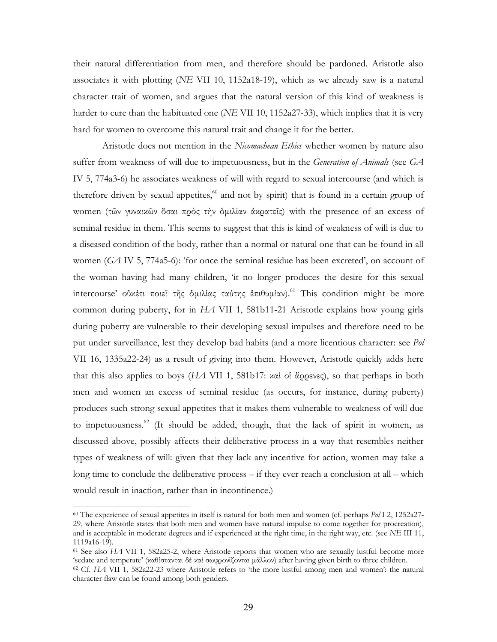their natural differentiation from men, and therefore should be pardoned. Aristotle also associates it with plotting (*NE VII 10*, 1152a18-19), which as we already saw is a natural character trait of women, and argues that the natural version of this kind of weakness is harder to cure than the habituated one (*NE* VII 10, 1152a27-33), which implies that it is very hard for women to overcome this natural trait and change it for the better.

Aristotle does not mention in the *Nicomachean Ethics* whether women by nature also suffer from weakness of will due to impetuousness, but in the *Generation of Animals* (see *GA* IV 5, 774a3-6) he associates weakness of will with regard to sexual intercourse (and which is therefore driven by sexual appetites, $60$  and not by spirit) that is found in a certain group of women (τῶν γυναικῶν ὅσαι πρὸς τὴν ὁµιλίαν ἀκρατεῖς) with the presence of an excess of seminal residue in them. This seems to suggest that this is kind of weakness of will is due to a diseased condition of the body, rather than a normal or natural one that can be found in all women  $(GA IV 5, 774a5-6)$ : 'for once the seminal residue has been excreted', on account of the woman having had many children, 'it no longer produces the desire for this sexual intercourse' οὐκέτι ποιεῖ τῆς ὁμιλίας ταύτης ἐπιθυμίαν).<sup>61</sup> This condition might be more common during puberty, for in *HA* VII 1, 581b11-21 Aristotle explains how young girls during puberty are vulnerable to their developing sexual impulses and therefore need to be put under surveillance, lest they develop bad habits (and a more licentious character: see *Pol* VII 16, 1335a22-24) as a result of giving into them. However, Aristotle quickly adds here that this also applies to boys (*HA* VII 1, 581b17: καὶ οἱ ἄρρενες), so that perhaps in both men and women an excess of seminal residue (as occurs, for instance, during puberty) produces such strong sexual appetites that it makes them vulnerable to weakness of will due to impetuousness.<sup>62</sup> (It should be added, though, that the lack of spirit in women, as discussed above, possibly affects their deliberative process in a way that resembles neither types of weakness of will: given that they lack any incentive for action, women may take a long time to conclude the deliberative process – if they ever reach a conclusion at all – which would result in inaction, rather than in incontinence.)

 $\overline{a}$ 

<sup>&</sup>lt;sup>60</sup> The experience of sexual appetites in itself is natural for both men and women (cf. perhaps  $P_0/12$ , 1252a27-29, where Aristotle states that both men and women have natural impulse to come together for procreation), and is acceptable in moderate degrees and if experienced at the right time, in the right way, etc. (see *NE III 11*, 1119a16-19).

 $61$  See also  $HA$  VII 1, 582a25-2, where Aristotle reports that women who are sexually lustful become more 'sedate and temperate' (καθίστανται δὲ καὶ σωφρονίζονται μᾶλλον) after having given birth to three children.

 $62$  Cf. *HA* VII 1, 582a22-23 where Aristotle refers to 'the more lustful among men and women': the natural character flaw can be found among both genders.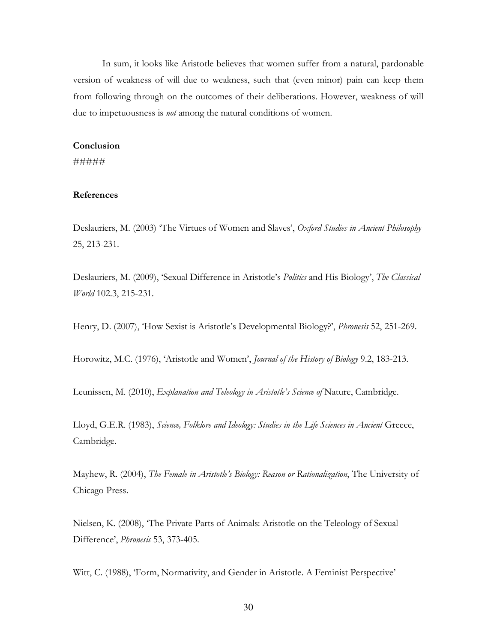In sum, it looks like Aristotle believes that women suffer from a natural, pardonable version of weakness of will due to weakness, such that (even minor) pain can keep them from following through on the outcomes of their deliberations. However, weakness of will due to impetuousness is *not* among the natural conditions of women.

#### **Conclusion**

#####

#### **References**

Deslauriers, M. (2003) 'The Virtues of Women and Slaves', Oxford Studies in Ancient Philosophy 25,213-231.

Deslauriers, M. (2009), 'Sexual Difference in Aristotle's Politics and His Biology', The Classical *World* 102.3,215-231.

Henry, D. (2007), 'How Sexist is Aristotle's Developmental Biology?', *Phronesis* 52, 251-269.

Horowitz,M.C.(1976),'AristotleandWomen',*Journal of the History of Biology* 9.2,183-213.

Leunissen, M. (2010), *Explanation and Teleology in Aristotle's Science of* Nature, Cambridge.

Lloyd,G.E.R.(1983),*Science, Folklore and Ideology: Studies in the Life Sciences in Ancient* Greece, Cambridge.

Mayhew, R. (2004), *The Female in Aristotle's Biology: Reason or Rationalization*, The University of Chicago Press.

Nielsen, K. (2008), 'The Private Parts of Animals: Aristotle on the Teleology of Sexual Difference',*Phronesis* 53,373-405.

Witt, C. (1988), 'Form, Normativity, and Gender in Aristotle. A Feminist Perspective'